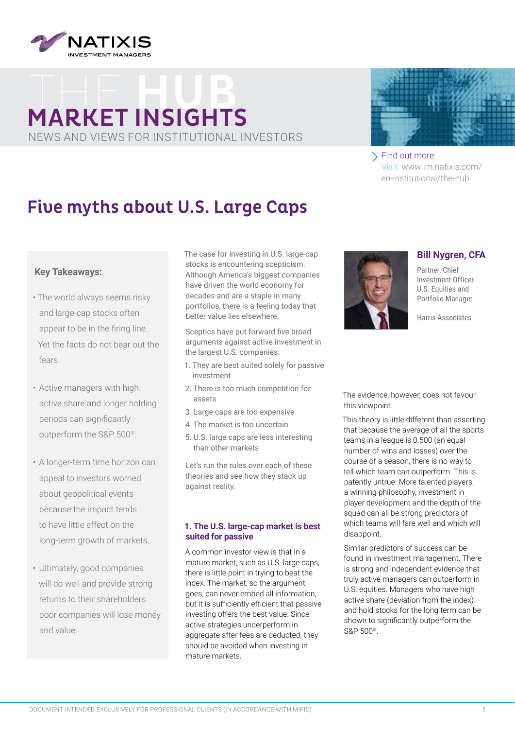

# **MARKET INSIGHTS** NEWS AND VIEWS FOR INSTITUTIONAL INVESTORS



Find out more: Visit: www.im.natixis.com/ [en-institutional/the-hub](www.im.natixis.com/en-institutional/the-hub) 

# Five myths about U.S. Large Caps

## **Key Takeaways:**

- The world always seems risky and large-cap stocks often appear to be in the firing line. Yet the facts do not bear out the fears.
- Active managers with high active share and longer holding periods can significantly outperform the S&P 500®.
- A longer-term time horizon can appeal to investors worried about geopolitical events because the impact tends to have little effect on the long-term growth of markets.
- Ultimately, good companies will do well and provide strong returns to their shareholders – poor companies will lose money and value.

The case for investing in U.S. large-cap stocks is encountering scepticism. Although America's biggest companies have driven the world economy for decades and are a staple in many portfolios, there is a feeling today that better value lies elsewhere.

Sceptics have put forward five broad arguments against active investment in the largest U.S. companies:

- 1. They are best suited solely for passive investment
- 2. There is too much competition for assets
- 3. Large caps are too expensive
- 4. The market is too uncertain
- 5. U.S. large caps are less interesting than other markets

Let's run the rules over each of these theories and see how they stack up against reality.

### **1. The U.S. large-cap market is best suited for passive**

A common investor view is that in a mature market, such as U.S. large caps, there is little point in trying to beat the index. The market, so the argument goes, can never embed all information, but it is sufficiently efficient that passive investing offers the best value. Since active strategies underperform in aggregate after fees are deducted, they should be avoided when investing in mature markets.



**Bill Nygren, CFA**

Partner, Chief Investment Officer U.S. Equities and Portfolio Manager

Harris Associates

The evidence, however, does not favour this viewpoint.

This theory is little different than asserting that because the average of all the sports teams in a league is 0.500 (an equal number of wins and losses) over the course of a season, there is no way to tell which team can outperform. This is patently untrue. More talented players, a winning philosophy, investment in player development and the depth of the squad can all be strong predictors of which teams will fare well and which will disappoint.

Similar predictors of success can be found in investment management. There is strong and independent evidence that truly active managers can outperform in U.S. equities. Managers who have high active share (deviation from the index) and hold stocks for the long term can be shown to significantly outperform the S&P 500®.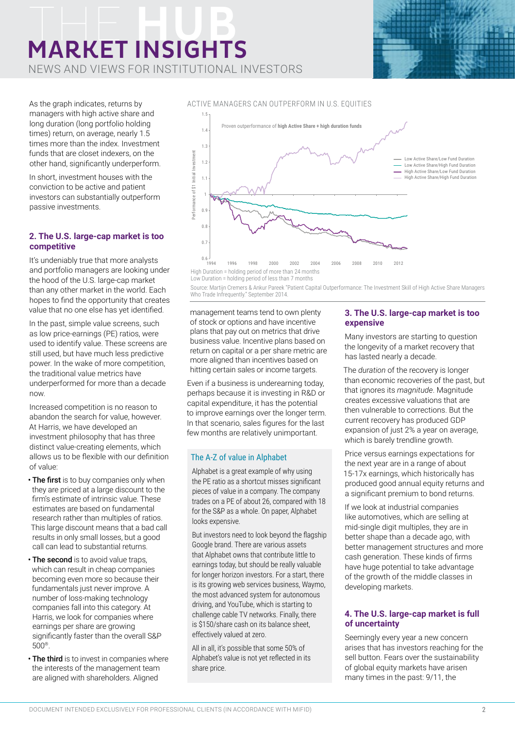# **MARKET INSIGHTS**

NEWS AND VIEWS FOR INSTITUTIONAL INVESTORS



As the graph indicates, returns by managers with high active share and long duration (long portfolio holding times) return, on average, nearly 1.5 times more than the index. Investment funds that are closet indexers, on the other hand, significantly underperform.

In short, investment houses with the conviction to be active and patient investors can substantially outperform passive investments.

#### **2. The U.S. large-cap market is too competitive**

It's undeniably true that more analysts and portfolio managers are looking under the hood of the U.S. large-cap market than any other market in the world. Each hopes to find the opportunity that creates value that no one else has yet identified.

In the past, simple value screens, such as low price-earnings (PE) ratios, were used to identify value. These screens are still used, but have much less predictive power. In the wake of more competition, the traditional value metrics have underperformed for more than a decade now.

Increased competition is no reason to abandon the search for value, however. At Harris, we have developed an investment philosophy that has three distinct value-creating elements, which allows us to be flexible with our definition of value:

- The first is to buy companies only when they are priced at a large discount to the firm's estimate of intrinsic value. These estimates are based on fundamental research rather than multiples of ratios. This large discount means that a bad call results in only small losses, but a good call can lead to substantial returns.
- The second is to avoid value traps, which can result in cheap companies becoming even more so because their fundamentals just never improve. A number of loss-making technology companies fall into this category. At Harris, we look for companies where earnings per share are growing significantly faster than the overall S&P 500®.
- The third is to invest in companies where the interests of the management team are aligned with shareholders. Aligned



Source: Martijn Cremers & Ankur Pareek "Patient Capital Outperformance: The Investment Skill of High Active Share Managers Who Trade Infrequently." September 2014.

management teams tend to own plenty of stock or options and have incentive plans that pay out on metrics that drive business value. Incentive plans based on return on capital or a per share metric are more aligned than incentives based on hitting certain sales or income targets.

Even if a business is underearning today, perhaps because it is investing in R&D or capital expenditure, it has the potential to improve earnings over the longer term. In that scenario, sales figures for the last few months are relatively unimportant.

### The A-Z of value in Alphabet

Alphabet is a great example of why using the PE ratio as a shortcut misses significant pieces of value in a company. The company trades on a PE of about 26, compared with 18 for the S&P as a whole. On paper, Alphabet looks expensive.

But investors need to look beyond the flagship Google brand. There are various assets that Alphabet owns that contribute little to earnings today, but should be really valuable for longer horizon investors. For a start, there is its growing web services business, Waymo, the most advanced system for autonomous driving, and YouTube, which is starting to challenge cable TV networks. Finally, there is \$150/share cash on its balance sheet, effectively valued at zero.

All in all, it's possible that some 50% of Alphabet's value is not yet reflected in its share price.

### **3. The U.S. large-cap market is too expensive**

Many investors are starting to question the longevity of a market recovery that has lasted nearly a decade.

The *duration* of the recovery is longer than economic recoveries of the past, but that ignores its *magnitude*. Magnitude creates excessive valuations that are then vulnerable to corrections. But the current recovery has produced GDP expansion of just 2% a year on average, which is barely trendline growth.

Price versus earnings expectations for the next year are in a range of about 15-17x earnings, which historically has produced good annual equity returns and a significant premium to bond returns.

If we look at industrial companies like automotives, which are selling at mid-single digit multiples, they are in better shape than a decade ago, with better management structures and more cash generation. These kinds of firms have huge potential to take advantage of the growth of the middle classes in developing markets.

### **4. The U.S. large-cap market is full of uncertainty**

Seemingly every year a new concern arises that has investors reaching for the sell button. Fears over the sustainability of global equity markets have arisen many times in the past: 9/11, the

ACTIVE MANAGERS CAN OUTPERFORM IN U.S. EQUITIES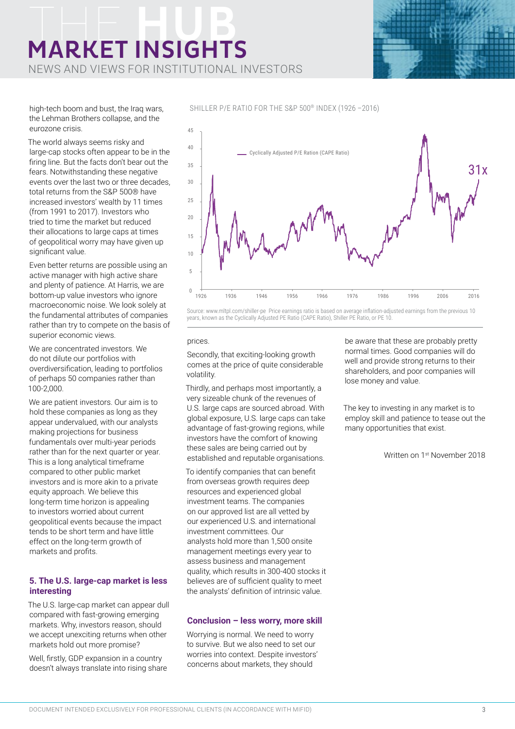# **MARKET INSIGHTS**

NEWS AND VIEWS FOR INSTITUTIONAL INVESTORS



high-tech boom and bust, the Iraq wars, the Lehman Brothers collapse, and the eurozone crisis.

The world always seems risky and large-cap stocks often appear to be in the firing line. But the facts don't bear out the fears. Notwithstanding these negative events over the last two or three decades, total returns from the S&P 500® have increased investors' wealth by 11 times (from 1991 to 2017). Investors who tried to time the market but reduced their allocations to large caps at times of geopolitical worry may have given up significant value.

Even better returns are possible using an active manager with high active share and plenty of patience. At Harris, we are bottom-up value investors who ignore macroeconomic noise. We look solely at the fundamental attributes of companies rather than try to compete on the basis of superior economic views.

We are concentrated investors. We do not dilute our portfolios with overdiversification, leading to portfolios of perhaps 50 companies rather than 100-2,000.

We are patient investors. Our aim is to hold these companies as long as they appear undervalued, with our analysts making projections for business fundamentals over multi-year periods rather than for the next quarter or year. This is a long analytical timeframe compared to other public market investors and is more akin to a private equity approach. We believe this long-term time horizon is appealing to investors worried about current geopolitical events because the impact tends to be short term and have little effect on the long-term growth of markets and profits.

#### **5. The U.S. large-cap market is less interesting**

The U.S. large-cap market can appear dull compared with fast-growing emerging markets. Why, investors reason, should we accept unexciting returns when other markets hold out more promise?

Well, firstly, GDP expansion in a country doesn't always translate into rising share SHILLER P/E RATIO FOR THE S&P 500® INDEX (1926 –2016)



Source: www.mltpl.com/shiller-pe Price earnings ratio is based on average inflation-adjusted earnings from the previous 10 years, known as the Cyclically Adjusted PE Ratio (CAPE Ratio), Shiller PE Ratio, or PE 10.

#### prices.

Secondly, that exciting-looking growth comes at the price of quite considerable volatility.

Thirdly, and perhaps most importantly, a very sizeable chunk of the revenues of U.S. large caps are sourced abroad. With global exposure, U.S. large caps can take advantage of fast-growing regions, while investors have the comfort of knowing these sales are being carried out by established and reputable organisations.

To identify companies that can benefit from overseas growth requires deep resources and experienced global investment teams. The companies on our approved list are all vetted by our experienced U.S. and international investment committees. Our analysts hold more than 1,500 onsite management meetings every year to assess business and management quality, which results in 300-400 stocks it believes are of sufficient quality to meet the analysts' definition of intrinsic value.

#### **Conclusion – less worry, more skill**

Worrying is normal. We need to worry to survive. But we also need to set our worries into context. Despite investors' concerns about markets, they should

be aware that these are probably pretty normal times. Good companies will do well and provide strong returns to their shareholders, and poor companies will lose money and value.

The key to investing in any market is to employ skill and patience to tease out the many opportunities that exist.

Written on 1st November 2018